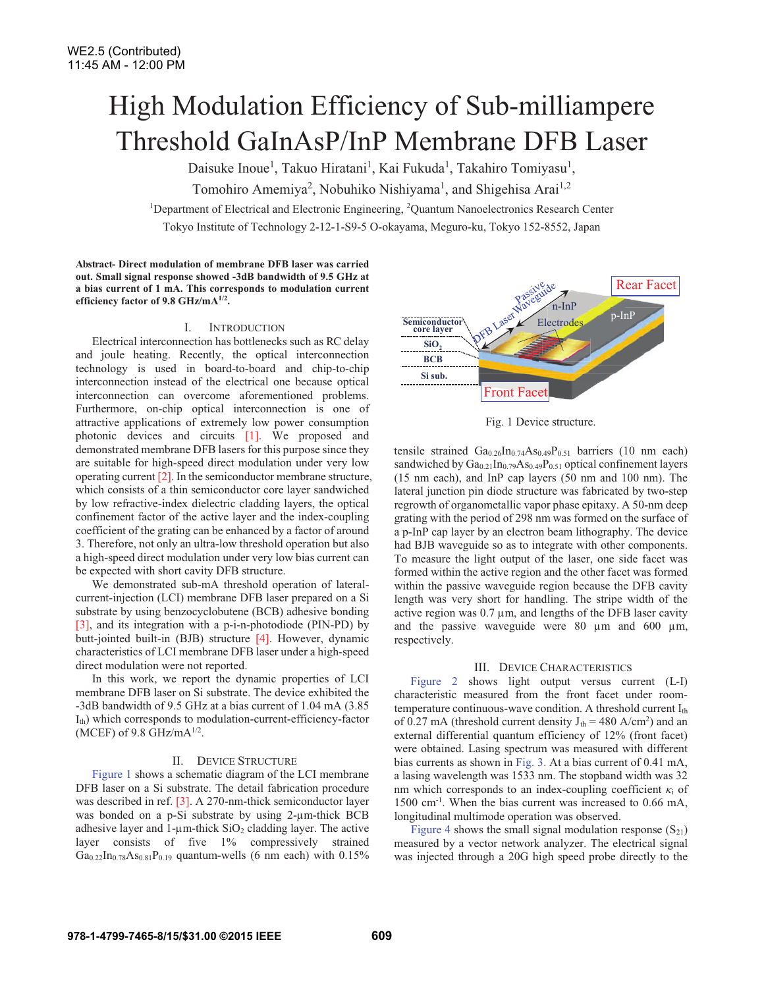# High Modulation Efficiency of Sub-milliampere Threshold GaInAsP/InP Membrane DFB Laser

Daisuke Inoue<sup>1</sup>, Takuo Hiratani<sup>1</sup>, Kai Fukuda<sup>1</sup>, Takahiro Tomiyasu<sup>1</sup>,

Tomohiro Amemiya<sup>2</sup>, Nobuhiko Nishiyama<sup>1</sup>, and Shigehisa Arai<sup>1,2</sup>

<sup>1</sup>Department of Electrical and Electronic Engineering, <sup>2</sup>Quantum Nanoelectronics Research Center

Tokyo Institute of Technology 2-12-1-S9-5 O-okayama, Meguro-ku, Tokyo 152-8552, Japan

**Abstract- Direct modulation of membrane DFB laser was carried out. Small signal response showed -3dB bandwidth of 9.5 GHz at a bias current of 1 mA. This corresponds to modulation current efficiency factor of 9.8 GHz/mA1/2.**

# I. INTRODUCTION

Electrical interconnection has bottlenecks such as RC delay and joule heating. Recently, the optical interconnection technology is used in board-to-board and chip-to-chip interconnection instead of the electrical one because optical interconnection can overcome aforementioned problems. Furthermore, on-chip optical interconnection is one of attractive applications of extremely low power consumption photonic devices and circuits [1]. We proposed and demonstrated membrane DFB lasers for this purpose since they are suitable for high-speed direct modulation under very low operating current [2]. In the semiconductor membrane structure, which consists of a thin semiconductor core layer sandwiched by low refractive-index dielectric cladding layers, the optical confinement factor of the active layer and the index-coupling coefficient of the grating can be enhanced by a factor of around 3. Therefore, not only an ultra-low threshold operation but also a high-speed direct modulation under very low bias current can be expected with short cavity DFB structure.

We demonstrated sub-mA threshold operation of lateralcurrent-injection (LCI) membrane DFB laser prepared on a Si substrate by using benzocyclobutene (BCB) adhesive bonding [3], and its integration with a p-i-n-photodiode (PIN-PD) by butt-jointed built-in (BJB) structure [4]. However, dynamic characteristics of LCI membrane DFB laser under a high-speed direct modulation were not reported.

In this work, we report the dynamic properties of LCI membrane DFB laser on Si substrate. The device exhibited the -3dB bandwidth of 9.5 GHz at a bias current of 1.04 mA (3.85 Ith) which corresponds to modulation-current-efficiency-factor (MCEF) of 9.8 GHz/mA $^{1/2}$ .

## II. DEVICE STRUCTURE

Figure 1 shows a schematic diagram of the LCI membrane DFB laser on a Si substrate. The detail fabrication procedure was described in ref. [3]. A 270-nm-thick semiconductor layer was bonded on a p-Si substrate by using 2-µm-thick BCB adhesive layer and 1- $\mu$ m-thick SiO<sub>2</sub> cladding layer. The active layer consists of five 1% compressively strained  $Ga_{0.22}In_{0.78}As_{0.81}P_{0.19}$  quantum-wells (6 nm each) with 0.15%



Fig. 1 Device structure.

tensile strained  $Ga_{0.26}In_{0.74}As_{0.49}P_{0.51}$  barriers (10 nm each) sandwiched by  $Ga_{0.21}In_{0.79}As_{0.49}P_{0.51}$  optical confinement layers (15 nm each), and InP cap layers (50 nm and 100 nm). The lateral junction pin diode structure was fabricated by two-step regrowth of organometallic vapor phase epitaxy. A 50-nm deep grating with the period of 298 nm was formed on the surface of a p-InP cap layer by an electron beam lithography. The device had BJB waveguide so as to integrate with other components. To measure the light output of the laser, one side facet was formed within the active region and the other facet was formed within the passive waveguide region because the DFB cavity length was very short for handling. The stripe width of the active region was  $0.7 \mu m$ , and lengths of the DFB laser cavity and the passive waveguide were 80 µm and 600 µm, respectively.

#### III. DEVICE CHARACTERISTICS

Figure 2 shows light output versus current (L-I) characteristic measured from the front facet under roomtemperature continuous-wave condition. A threshold current  $I_{th}$ of 0.27 mA (threshold current density  $J_{th} = 480$  A/cm<sup>2</sup>) and an external differential quantum efficiency of 12% (front facet) were obtained. Lasing spectrum was measured with different bias currents as shown in Fig. 3. At a bias current of 0.41 mA, a lasing wavelength was 1533 nm. The stopband width was 32 nm which corresponds to an index-coupling coefficient  $\kappa_i$  of 1500 cm-1. When the bias current was increased to 0.66 mA, longitudinal multimode operation was observed.

Figure 4 shows the small signal modulation response  $(S_{21})$ measured by a vector network analyzer. The electrical signal was injected through a 20G high speed probe directly to the